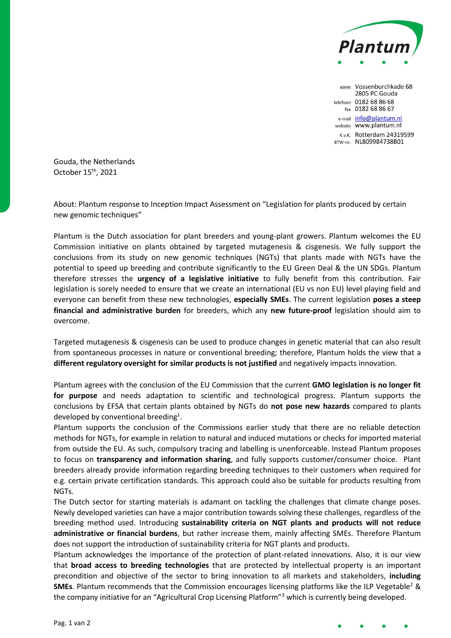

adres Vossenburchkade 68 2805 PC Gouda telefoon 0182 68 86 68 fax 0182 68 86 67 e-mail info@plantum.nl website www.plantum.nl K.v.K. Rotterdam 24319599 BTW-nr. NL809984738B01

Gouda, the Netherlands October 15th, 2021

About: Plantum response to Inception Impact Assessment on "Legislation for plants produced by certain new genomic techniques"

Plantum is the Dutch association for plant breeders and young-plant growers. Plantum welcomes the EU Commission initiative on plants obtained by targeted mutagenesis & cisgenesis. We fully support the conclusions from its study on new genomic techniques (NGTs) that plants made with NGTs have the potential to speed up breeding and contribute significantly to the EU Green Deal & the UN SDGs. Plantum therefore stresses the **urgency of a legislative initiative** to fully benefit from this contribution. Fair legislation is sorely needed to ensure that we create an international (EU vs non EU) level playing field and everyone can benefit from these new technologies, **especially SMEs**. The current legislation **poses a steep financial and administrative burden** for breeders, which any **new future-proof** legislation should aim to overcome.

Targeted mutagenesis & cisgenesis can be used to produce changes in genetic material that can also result from spontaneous processes in nature or conventional breeding; therefore, Plantum holds the view that a **different regulatory oversight for similar products is not justified** and negatively impacts innovation.

Plantum agrees with the conclusion of the EU Commission that the current **GMO legislation is no longer fit for purpose** and needs adaptation to scientific and technological progress. Plantum supports the conclusions by EFSA that certain plants obtained by NGTs do **not pose new hazards** compared to plants developed by conventional breeding<sup>1</sup>.

Plantum supports the conclusion of the Commissions earlier study that there are no reliable detection methods for NGTs, for example in relation to natural and induced mutations or checks for imported material from outside the EU. As such, compulsory tracing and labelling is unenforceable. Instead Plantum proposes to focus on **transparency and information sharing**, and fully supports customer/consumer choice. Plant breeders already provide information regarding breeding techniques to their customers when required for e.g. certain private certification standards. This approach could also be suitable for products resulting from NGTs.

The Dutch sector for starting materials is adamant on tackling the challenges that climate change poses. Newly developed varieties can have a major contribution towards solving these challenges, regardless of the breeding method used. Introducing **sustainability criteria on NGT plants and products will not reduce administrative or financial burdens**, but rather increase them, mainly affecting SMEs. Therefore Plantum does not support the introduction of sustainability criteria for NGT plants and products.

Plantum acknowledges the importance of the protection of plant-related innovations. Also, it is our view that **broad access to breeding technologies** that are protected by intellectual property is an important precondition and objective of the sector to bring innovation to all markets and stakeholders, **including SMEs**. Plantum recommends that the Commission encourages licensing platforms like the ILP Vegetable<sup>2</sup> & the company initiative for an "Agricultural Crop Licensing Platform"<sup>3</sup> which is currently being developed.